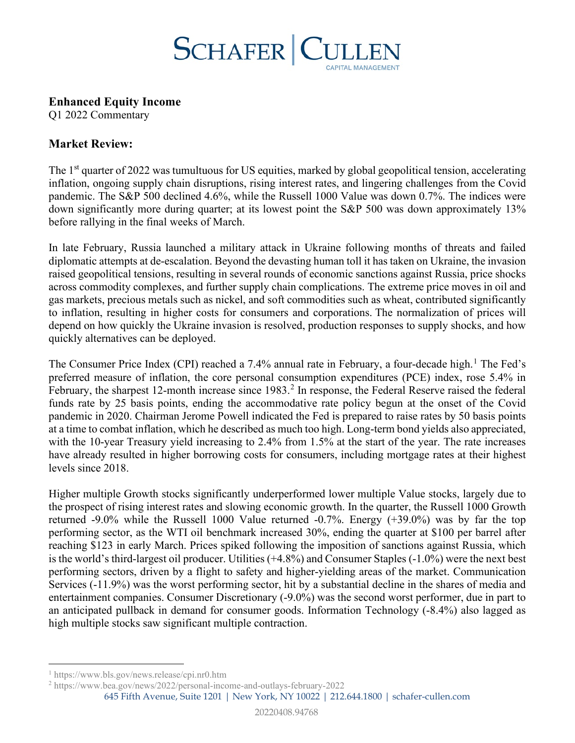

**Enhanced Equity Income**

Q1 2022 Commentary

## **Market Review:**

The 1<sup>st</sup> quarter of 2022 was tumultuous for US equities, marked by global geopolitical tension, accelerating inflation, ongoing supply chain disruptions, rising interest rates, and lingering challenges from the Covid pandemic. The S&P 500 declined 4.6%, while the Russell 1000 Value was down 0.7%. The indices were down significantly more during quarter; at its lowest point the S&P 500 was down approximately 13% before rallying in the final weeks of March.

In late February, Russia launched a military attack in Ukraine following months of threats and failed diplomatic attempts at de-escalation. Beyond the devasting human toll it has taken on Ukraine, the invasion raised geopolitical tensions, resulting in several rounds of economic sanctions against Russia, price shocks across commodity complexes, and further supply chain complications. The extreme price moves in oil and gas markets, precious metals such as nickel, and soft commodities such as wheat, contributed significantly to inflation, resulting in higher costs for consumers and corporations. The normalization of prices will depend on how quickly the Ukraine invasion is resolved, production responses to supply shocks, and how quickly alternatives can be deployed.

The Consumer Price Index (CPI) reached a 7.4% annual rate in February, a four-decade high.<sup>[1](#page-0-0)</sup> The Fed's preferred measure of inflation, the core personal consumption expenditures (PCE) index, rose 5.4% in February, the sharpest 1[2](#page-0-1)-month increase since 1983.<sup>2</sup> In response, the Federal Reserve raised the federal funds rate by 25 basis points, ending the accommodative rate policy begun at the onset of the Covid pandemic in 2020. Chairman Jerome Powell indicated the Fed is prepared to raise rates by 50 basis points at a time to combat inflation, which he described as much too high. Long-term bond yields also appreciated, with the 10-year Treasury yield increasing to 2.4% from 1.5% at the start of the year. The rate increases have already resulted in higher borrowing costs for consumers, including mortgage rates at their highest levels since 2018.

Higher multiple Growth stocks significantly underperformed lower multiple Value stocks, largely due to the prospect of rising interest rates and slowing economic growth. In the quarter, the Russell 1000 Growth returned -9.0% while the Russell 1000 Value returned -0.7%. Energy (+39.0%) was by far the top performing sector, as the WTI oil benchmark increased 30%, ending the quarter at \$100 per barrel after reaching \$123 in early March. Prices spiked following the imposition of sanctions against Russia, which is the world's third-largest oil producer. Utilities (+4.8%) and Consumer Staples (-1.0%) were the next best performing sectors, driven by a flight to safety and higher-yielding areas of the market. Communication Services (-11.9%) was the worst performing sector, hit by a substantial decline in the shares of media and entertainment companies. Consumer Discretionary (-9.0%) was the second worst performer, due in part to an anticipated pullback in demand for consumer goods. Information Technology (-8.4%) also lagged as high multiple stocks saw significant multiple contraction.

645 Fifth Avenue, Suite 1201 | New York, NY 10022 | 212.644.1800 | schafer-cullen.com

<span id="page-0-0"></span><sup>1</sup> <https://www.bls.gov/news.release/cpi.nr0.htm>

<span id="page-0-1"></span><sup>2</sup> <https://www.bea.gov/news/2022/personal-income-and-outlays-february-2022>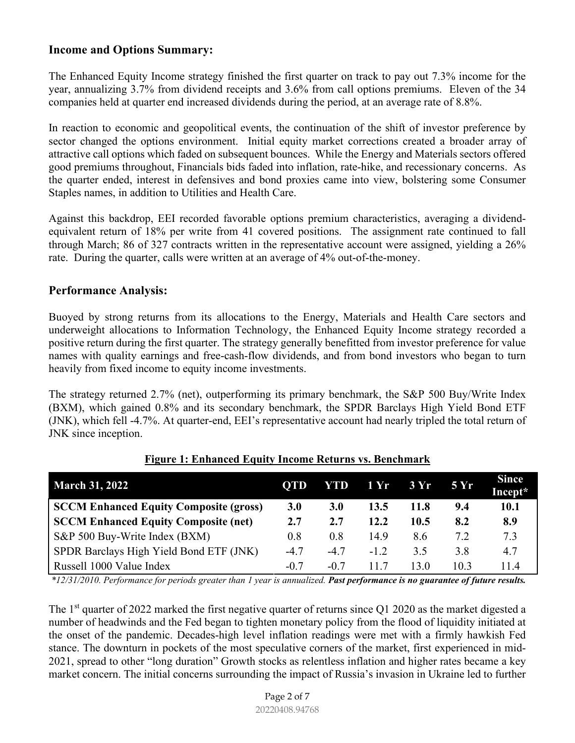## **Income and Options Summary:**

The Enhanced Equity Income strategy finished the first quarter on track to pay out 7.3% income for the year, annualizing 3.7% from dividend receipts and 3.6% from call options premiums. Eleven of the 34 companies held at quarter end increased dividends during the period, at an average rate of 8.8%.

In reaction to economic and geopolitical events, the continuation of the shift of investor preference by sector changed the options environment. Initial equity market corrections created a broader array of attractive call options which faded on subsequent bounces. While the Energy and Materials sectors offered good premiums throughout, Financials bids faded into inflation, rate-hike, and recessionary concerns. As the quarter ended, interest in defensives and bond proxies came into view, bolstering some Consumer Staples names, in addition to Utilities and Health Care.

Against this backdrop, EEI recorded favorable options premium characteristics, averaging a dividendequivalent return of 18% per write from 41 covered positions. The assignment rate continued to fall through March; 86 of 327 contracts written in the representative account were assigned, yielding a 26% rate. During the quarter, calls were written at an average of 4% out-of-the-money.

### **Performance Analysis:**

Buoyed by strong returns from its allocations to the Energy, Materials and Health Care sectors and underweight allocations to Information Technology, the Enhanced Equity Income strategy recorded a positive return during the first quarter. The strategy generally benefitted from investor preference for value names with quality earnings and free-cash-flow dividends, and from bond investors who began to turn heavily from fixed income to equity income investments.

The strategy returned 2.7% (net), outperforming its primary benchmark, the S&P 500 Buy/Write Index (BXM), which gained 0.8% and its secondary benchmark, the SPDR Barclays High Yield Bond ETF (JNK), which fell -4.7%. At quarter-end, EEI's representative account had nearly tripled the total return of JNK since inception.

| <b>March 31, 2022</b>                         | <b>QTD</b> | YTD        | 1 Yr   | 3 Yr | <b>5 Yr</b> | <b>Since</b><br>Incept* |
|-----------------------------------------------|------------|------------|--------|------|-------------|-------------------------|
| <b>SCCM Enhanced Equity Composite (gross)</b> | 3.0        | <b>3.0</b> | 13.5   | 11.8 | 9.4         | <b>10.1</b>             |
| <b>SCCM Enhanced Equity Composite (net)</b>   | 2.7        | 2.7        | 12.2   | 10.5 | 8.2         | 8.9                     |
| S&P 500 Buy-Write Index (BXM)                 | 0.8        | 0.8        | 14.9   | 8.6  | 7.2         | 7.3                     |
| SPDR Barclays High Yield Bond ETF (JNK)       | $-4.7$     | $-4.7$     | $-1.2$ | 3.5  | 3.8         | 4.7                     |
| Russell 1000 Value Index                      | $-0.7$     | $-0.7$     | 117    | 13.0 | 10.3        | 11.4                    |

#### **Figure 1: Enhanced Equity Income Returns vs. Benchmark**

*\*12/31/2010. Performance for periods greater than 1 year is annualized. Past performance is no guarantee of future results.*

The 1<sup>st</sup> quarter of 2022 marked the first negative quarter of returns since Q1 2020 as the market digested a number of headwinds and the Fed began to tighten monetary policy from the flood of liquidity initiated at the onset of the pandemic. Decades-high level inflation readings were met with a firmly hawkish Fed stance. The downturn in pockets of the most speculative corners of the market, first experienced in mid-2021, spread to other "long duration" Growth stocks as relentless inflation and higher rates became a key market concern. The initial concerns surrounding the impact of Russia's invasion in Ukraine led to further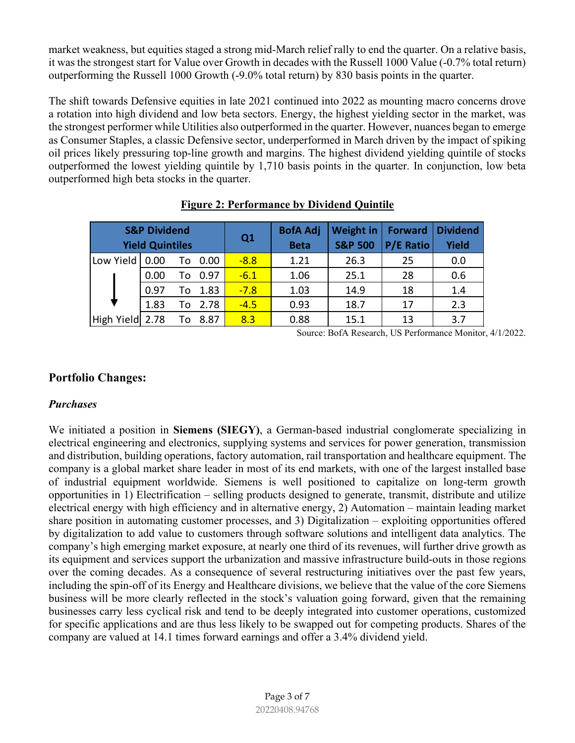market weakness, but equities staged a strong mid-March relief rally to end the quarter. On a relative basis, it was the strongest start for Value over Growth in decades with the Russell 1000 Value (-0.7% total return) outperforming the Russell 1000 Growth (-9.0% total return) by 830 basis points in the quarter.

The shift towards Defensive equities in late 2021 continued into 2022 as mounting macro concerns drove a rotation into high dividend and low beta sectors. Energy, the highest yielding sector in the market, was the strongest performer while Utilities also outperformed in the quarter. However, nuances began to emerge as Consumer Staples, a classic Defensive sector, underperformed in March driven by the impact of spiking oil prices likely pressuring top-line growth and margins. The highest dividend yielding quintile of stocks outperformed the lowest yielding quintile by 1,710 basis points in the quarter. In conjunction, low beta outperformed high beta stocks in the quarter.

|                 | <b>S&amp;P Dividend</b><br><b>Yield Quintiles</b> |            | Q1     | <b>BofA Adj</b><br><b>Beta</b> | Weight in<br><b>S&amp;P 500</b> | <b>Forward</b><br><b>P/E Ratio</b> | <b>Dividend</b><br><b>Yield</b> |
|-----------------|---------------------------------------------------|------------|--------|--------------------------------|---------------------------------|------------------------------------|---------------------------------|
| Low Yield       | 0.00                                              | 0.00<br>To | $-8.8$ | 1.21                           | 26.3                            | 25                                 | 0.0                             |
|                 | 0.00                                              | 0.97<br>To | $-6.1$ | 1.06                           | 25.1                            | 28                                 | 0.6                             |
|                 | 0.97                                              | To 1.83    | $-7.8$ | 1.03                           | 14.9                            | 18                                 | 1.4                             |
|                 | 1.83                                              | To 2.78    | $-4.5$ | 0.93                           | 18.7                            | 17                                 | 2.3                             |
| High Yield 2.78 |                                                   | 8.87<br>To | 8.3    | 0.88                           | 15.1                            | 13                                 | 3.7                             |

**Figure 2: Performance by Dividend Quintile**

Source: BofA Research, US Performance Monitor, 4/1/2022.

## **Portfolio Changes:**

#### *Purchases*

We initiated a position in **Siemens (SIEGY)**, a German-based industrial conglomerate specializing in electrical engineering and electronics, supplying systems and services for power generation, transmission and distribution, building operations, factory automation, rail transportation and healthcare equipment. The company is a global market share leader in most of its end markets, with one of the largest installed base of industrial equipment worldwide. Siemens is well positioned to capitalize on long-term growth opportunities in 1) Electrification – selling products designed to generate, transmit, distribute and utilize electrical energy with high efficiency and in alternative energy, 2) Automation – maintain leading market share position in automating customer processes, and 3) Digitalization – exploiting opportunities offered by digitalization to add value to customers through software solutions and intelligent data analytics. The company's high emerging market exposure, at nearly one third of its revenues, will further drive growth as its equipment and services support the urbanization and massive infrastructure build-outs in those regions over the coming decades. As a consequence of several restructuring initiatives over the past few years, including the spin-off of its Energy and Healthcare divisions, we believe that the value of the core Siemens business will be more clearly reflected in the stock's valuation going forward, given that the remaining businesses carry less cyclical risk and tend to be deeply integrated into customer operations, customized for specific applications and are thus less likely to be swapped out for competing products. Shares of the company are valued at 14.1 times forward earnings and offer a 3.4% dividend yield.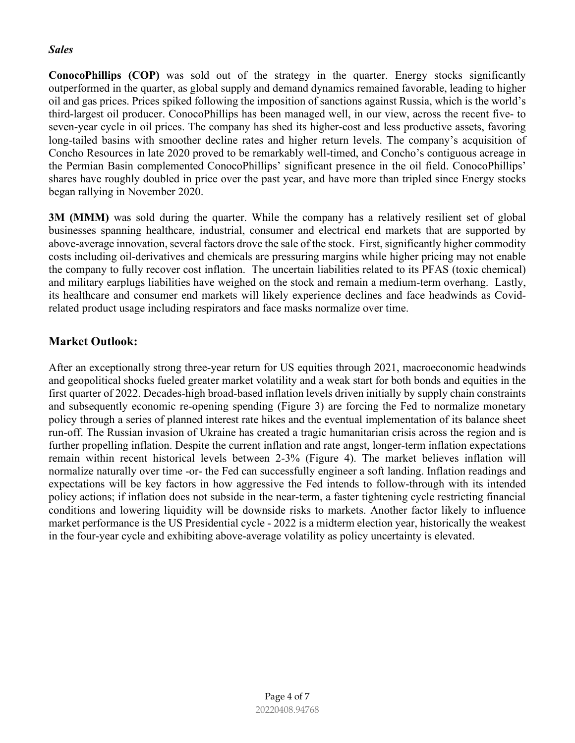#### *Sales*

**ConocoPhillips (COP)** was sold out of the strategy in the quarter. Energy stocks significantly outperformed in the quarter, as global supply and demand dynamics remained favorable, leading to higher oil and gas prices. Prices spiked following the imposition of sanctions against Russia, which is the world's third-largest oil producer. ConocoPhillips has been managed well, in our view, across the recent five- to seven-year cycle in oil prices. The company has shed its higher-cost and less productive assets, favoring long-tailed basins with smoother decline rates and higher return levels. The company's acquisition of Concho Resources in late 2020 proved to be remarkably well-timed, and Concho's contiguous acreage in the Permian Basin complemented ConocoPhillips' significant presence in the oil field. ConocoPhillips' shares have roughly doubled in price over the past year, and have more than tripled since Energy stocks began rallying in November 2020.

**3M (MMM)** was sold during the quarter. While the company has a relatively resilient set of global businesses spanning healthcare, industrial, consumer and electrical end markets that are supported by above-average innovation, several factors drove the sale of the stock. First, significantly higher commodity costs including oil-derivatives and chemicals are pressuring margins while higher pricing may not enable the company to fully recover cost inflation. The uncertain liabilities related to its PFAS (toxic chemical) and military earplugs liabilities have weighed on the stock and remain a medium-term overhang. Lastly, its healthcare and consumer end markets will likely experience declines and face headwinds as Covidrelated product usage including respirators and face masks normalize over time.

# **Market Outlook:**

After an exceptionally strong three-year return for US equities through 2021, macroeconomic headwinds and geopolitical shocks fueled greater market volatility and a weak start for both bonds and equities in the first quarter of 2022. Decades-high broad-based inflation levels driven initially by supply chain constraints and subsequently economic re-opening spending (Figure 3) are forcing the Fed to normalize monetary policy through a series of planned interest rate hikes and the eventual implementation of its balance sheet run-off. The Russian invasion of Ukraine has created a tragic humanitarian crisis across the region and is further propelling inflation. Despite the current inflation and rate angst, longer-term inflation expectations remain within recent historical levels between 2-3% (Figure 4). The market believes inflation will normalize naturally over time -or- the Fed can successfully engineer a soft landing. Inflation readings and expectations will be key factors in how aggressive the Fed intends to follow-through with its intended policy actions; if inflation does not subside in the near-term, a faster tightening cycle restricting financial conditions and lowering liquidity will be downside risks to markets. Another factor likely to influence market performance is the US Presidential cycle - 2022 is a midterm election year, historically the weakest in the four-year cycle and exhibiting above-average volatility as policy uncertainty is elevated.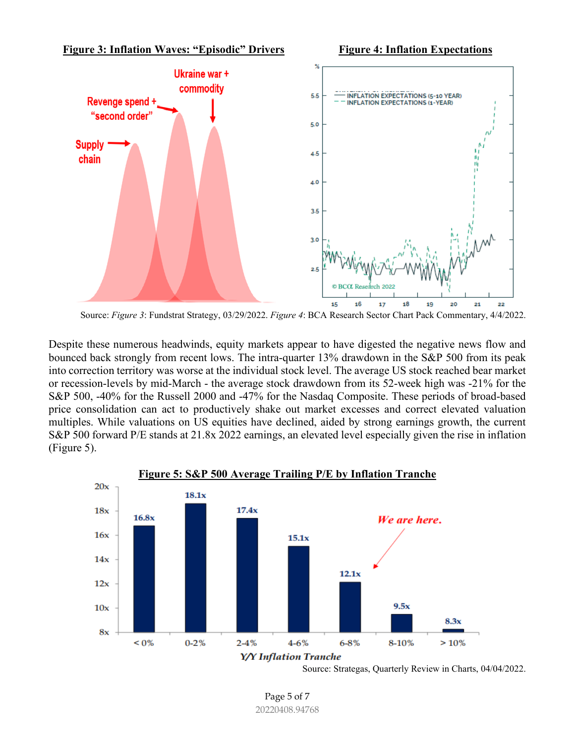

Source: *Figure 3*: Fundstrat Strategy, 03/29/2022. *Figure 4*: BCA Research Sector Chart Pack Commentary, 4/4/2022.

Despite these numerous headwinds, equity markets appear to have digested the negative news flow and bounced back strongly from recent lows. The intra-quarter 13% drawdown in the S&P 500 from its peak into correction territory was worse at the individual stock level. The average US stock reached bear market or recession-levels by mid-March - the average stock drawdown from its 52-week high was -21% for the S&P 500, -40% for the Russell 2000 and -47% for the Nasdaq Composite. These periods of broad-based price consolidation can act to productively shake out market excesses and correct elevated valuation multiples. While valuations on US equities have declined, aided by strong earnings growth, the current S&P 500 forward P/E stands at 21.8x 2022 earnings, an elevated level especially given the rise in inflation (Figure 5).



Source: Strategas, Quarterly Review in Charts, 04/04/2022.

Page 5 of 7 20220408.94768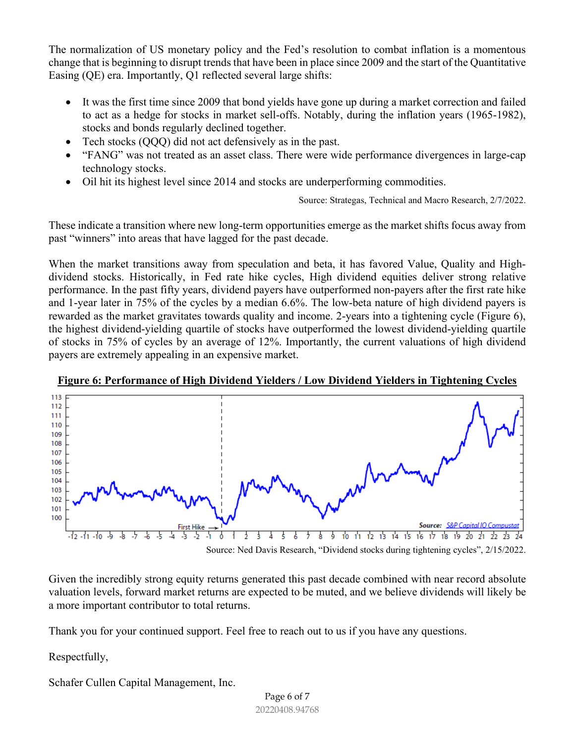The normalization of US monetary policy and the Fed's resolution to combat inflation is a momentous change that is beginning to disrupt trends that have been in place since 2009 and the start of the Quantitative Easing (QE) era. Importantly, Q1 reflected several large shifts:

- It was the first time since 2009 that bond yields have gone up during a market correction and failed to act as a hedge for stocks in market sell-offs. Notably, during the inflation years (1965-1982), stocks and bonds regularly declined together.
- Tech stocks (QQQ) did not act defensively as in the past.
- "FANG" was not treated as an asset class. There were wide performance divergences in large-cap technology stocks.
- Oil hit its highest level since 2014 and stocks are underperforming commodities.

Source: Strategas, Technical and Macro Research, 2/7/2022.

These indicate a transition where new long-term opportunities emerge as the market shifts focus away from past "winners" into areas that have lagged for the past decade.

When the market transitions away from speculation and beta, it has favored Value, Quality and Highdividend stocks. Historically, in Fed rate hike cycles, High dividend equities deliver strong relative performance. In the past fifty years, dividend payers have outperformed non-payers after the first rate hike and 1-year later in 75% of the cycles by a median 6.6%. The low-beta nature of high dividend payers is rewarded as the market gravitates towards quality and income. 2-years into a tightening cycle (Figure 6), the highest dividend-yielding quartile of stocks have outperformed the lowest dividend-yielding quartile of stocks in 75% of cycles by an average of 12%. Importantly, the current valuations of high dividend payers are extremely appealing in an expensive market.





Source: Ned Davis Research, "Dividend stocks during tightening cycles", 2/15/2022.

Given the incredibly strong equity returns generated this past decade combined with near record absolute valuation levels, forward market returns are expected to be muted, and we believe dividends will likely be a more important contributor to total returns.

Thank you for your continued support. Feel free to reach out to us if you have any questions.

Respectfully,

Schafer Cullen Capital Management, Inc.